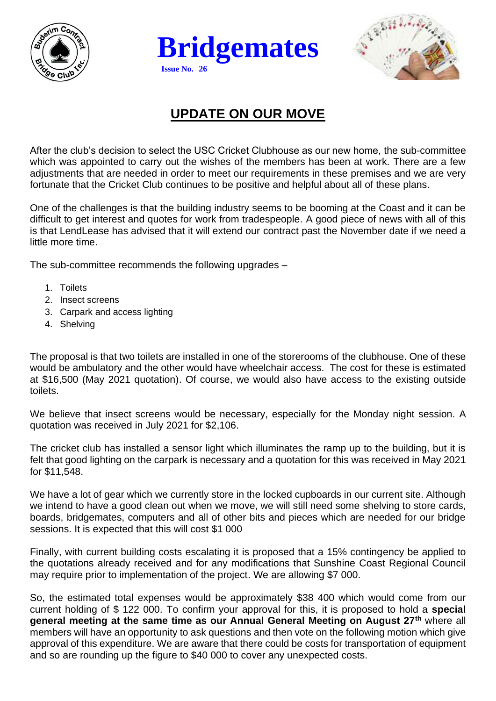





## **UPDATE ON OUR MOVE**

After the club's decision to select the USC Cricket Clubhouse as our new home, the sub-committee which was appointed to carry out the wishes of the members has been at work. There are a few adjustments that are needed in order to meet our requirements in these premises and we are very fortunate that the Cricket Club continues to be positive and helpful about all of these plans.

One of the challenges is that the building industry seems to be booming at the Coast and it can be difficult to get interest and quotes for work from tradespeople. A good piece of news with all of this is that LendLease has advised that it will extend our contract past the November date if we need a little more time.

The sub-committee recommends the following upgrades –

- 1. Toilets
- 2. Insect screens
- 3. Carpark and access lighting
- 4. Shelving

The proposal is that two toilets are installed in one of the storerooms of the clubhouse. One of these would be ambulatory and the other would have wheelchair access. The cost for these is estimated at \$16,500 (May 2021 quotation). Of course, we would also have access to the existing outside toilets.

We believe that insect screens would be necessary, especially for the Monday night session. A quotation was received in July 2021 for \$2,106.

The cricket club has installed a sensor light which illuminates the ramp up to the building, but it is felt that good lighting on the carpark is necessary and a quotation for this was received in May 2021 for \$11,548.

We have a lot of gear which we currently store in the locked cupboards in our current site. Although we intend to have a good clean out when we move, we will still need some shelving to store cards, boards, bridgemates, computers and all of other bits and pieces which are needed for our bridge sessions. It is expected that this will cost \$1 000

Finally, with current building costs escalating it is proposed that a 15% contingency be applied to the quotations already received and for any modifications that Sunshine Coast Regional Council may require prior to implementation of the project. We are allowing \$7 000.

So, the estimated total expenses would be approximately \$38 400 which would come from our current holding of \$ 122 000. To confirm your approval for this, it is proposed to hold a **special general meeting at the same time as our Annual General Meeting on August 27th** where all members will have an opportunity to ask questions and then vote on the following motion which give approval of this expenditure. We are aware that there could be costs for transportation of equipment and so are rounding up the figure to \$40 000 to cover any unexpected costs.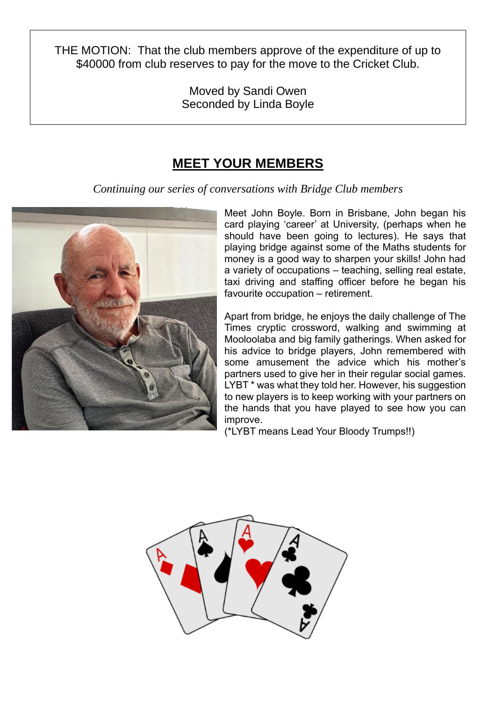THE MOTION: That the club members approve of the expenditure of up to \$40000 from club reserves to pay for the move to the Cricket Club.

> Moved by Sandi Owen Seconded by Linda Boyle

## **MEET YOUR MEMBERS**

*Continuing our series of conversations with Bridge Club members*



Meet John Boyle. Born in Brisbane, John began his card playing 'career' at University, (perhaps when he should have been going to lectures). He says that playing bridge against some of the Maths students for money is a good way to sharpen your skills! John had a variety of occupations – teaching, selling real estate, taxi driving and staffing officer before he began his favourite occupation – retirement.

Apart from bridge, he enjoys the daily challenge of The Times cryptic crossword, walking and swimming at Mooloolaba and big family gatherings. When asked for his advice to bridge players, John remembered with some amusement the advice which his mother's partners used to give her in their regular social games. LYBT \* was what they told her. However, his suggestion to new players is to keep working with your partners on the hands that you have played to see how you can improve.

(\*LYBT means Lead Your Bloody Trumps!!)

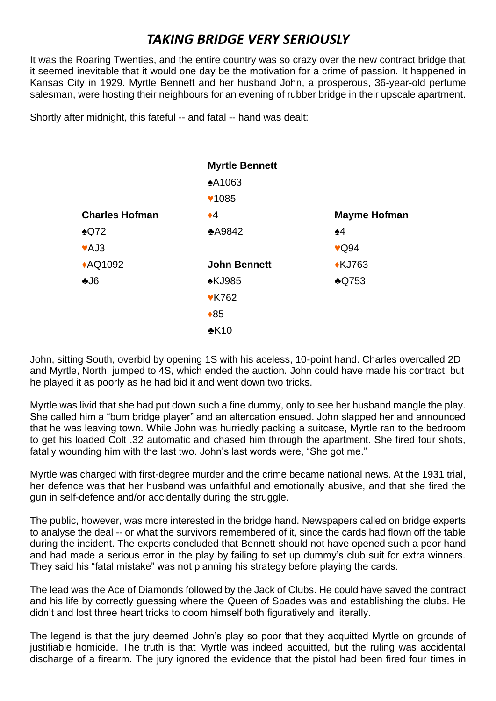## *TAKING BRIDGE VERY SERIOUSLY*

It was the Roaring Twenties, and the entire country was so crazy over the new contract bridge that it seemed inevitable that it would one day be the motivation for a crime of passion. It happened in Kansas City in 1929. Myrtle Bennett and her husband John, a prosperous, 36-year-old perfume salesman, were hosting their neighbours for an evening of rubber bridge in their upscale apartment.

Shortly after midnight, this fateful -- and fatal -- hand was dealt:

|                       | <b>Myrtle Bennett</b> |                     |
|-----------------------|-----------------------|---------------------|
|                       | <b>A1063</b>          |                     |
|                       | <b>♥1085</b>          |                     |
| <b>Charles Hofman</b> | $\bullet$ 4           | <b>Mayme Hofman</b> |
| $\triangle$ Q72       | <b>A9842</b>          | $\clubsuit$ 4       |
| ♥AJ3                  |                       | $\sqrt{Q}94$        |
| <b>AQ1092</b>         | <b>John Bennett</b>   | <b>*KJ763</b>       |
| $-16$                 | <b>∗KJ985</b>         | $\triangle$ Q753    |
|                       | <b>VK762</b>          |                     |
|                       | $*85$                 |                     |
|                       | $*K10$                |                     |

John, sitting South, overbid by opening 1S with his aceless, 10-point hand. Charles overcalled 2D and Myrtle, North, jumped to 4S, which ended the auction. John could have made his contract, but he played it as poorly as he had bid it and went down two tricks.

Myrtle was livid that she had put down such a fine dummy, only to see her husband mangle the play. She called him a "bum bridge player" and an altercation ensued. John slapped her and announced that he was leaving town. While John was hurriedly packing a suitcase, Myrtle ran to the bedroom to get his loaded Colt .32 automatic and chased him through the apartment. She fired four shots, fatally wounding him with the last two. John's last words were, "She got me."

Myrtle was charged with first-degree murder and the crime became national news. At the 1931 trial, her defence was that her husband was unfaithful and emotionally abusive, and that she fired the gun in self-defence and/or accidentally during the struggle.

The public, however, was more interested in the bridge hand. Newspapers called on bridge experts to analyse the deal -- or what the survivors remembered of it, since the cards had flown off the table during the incident. The experts concluded that Bennett should not have opened such a poor hand and had made a serious error in the play by failing to set up dummy's club suit for extra winners. They said his "fatal mistake" was not planning his strategy before playing the cards.

The lead was the Ace of Diamonds followed by the Jack of Clubs. He could have saved the contract and his life by correctly guessing where the Queen of Spades was and establishing the clubs. He didn't and lost three heart tricks to doom himself both figuratively and literally.

The legend is that the jury deemed John's play so poor that they acquitted Myrtle on grounds of justifiable homicide. The truth is that Myrtle was indeed acquitted, but the ruling was accidental discharge of a firearm. The jury ignored the evidence that the pistol had been fired four times in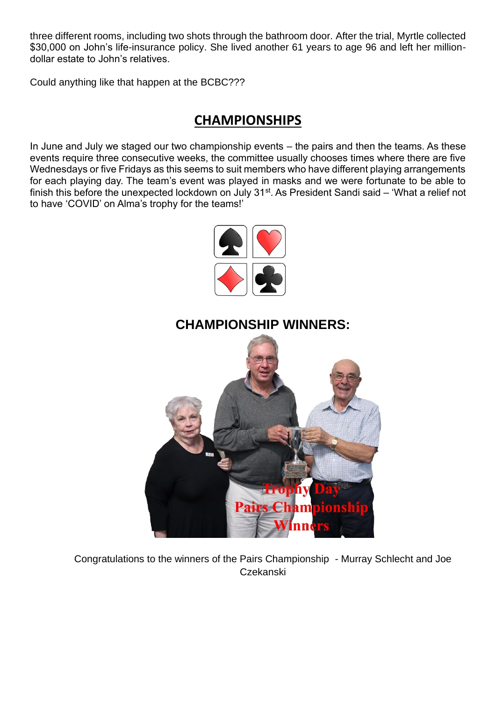three different rooms, including two shots through the bathroom door. After the trial, Myrtle collected \$30,000 on John's life-insurance policy. She lived another 61 years to age 96 and left her milliondollar estate to John's relatives.

Could anything like that happen at the BCBC???

### **CHAMPIONSHIPS**

In June and July we staged our two championship events – the pairs and then the teams. As these events require three consecutive weeks, the committee usually chooses times where there are five Wednesdays or five Fridays as this seems to suit members who have different playing arrangements for each playing day. The team's event was played in masks and we were fortunate to be able to finish this before the unexpected lockdown on July 31<sup>st</sup>. As President Sandi said – 'What a relief not to have 'COVID' on Alma's trophy for the teams!'



#### **CHAMPIONSHIP WINNERS:**



Congratulations to the winners of the Pairs Championship - Murray Schlecht and Joe Czekanski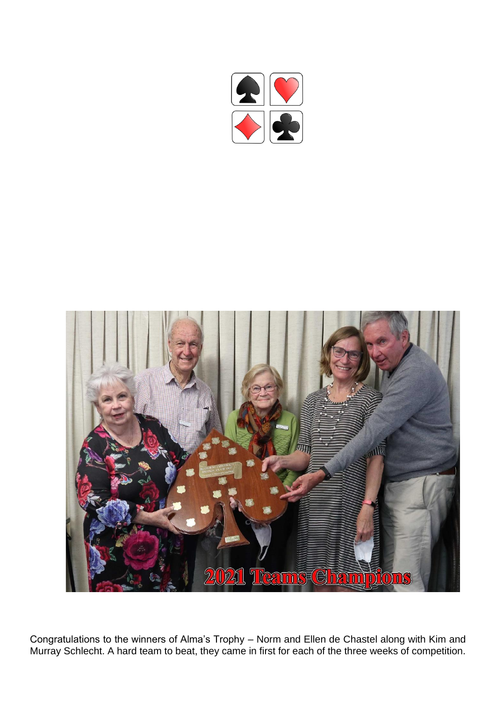



Congratulations to the winners of Alma's Trophy – Norm and Ellen de Chastel along with Kim and Murray Schlecht. A hard team to beat, they came in first for each of the three weeks of competition.